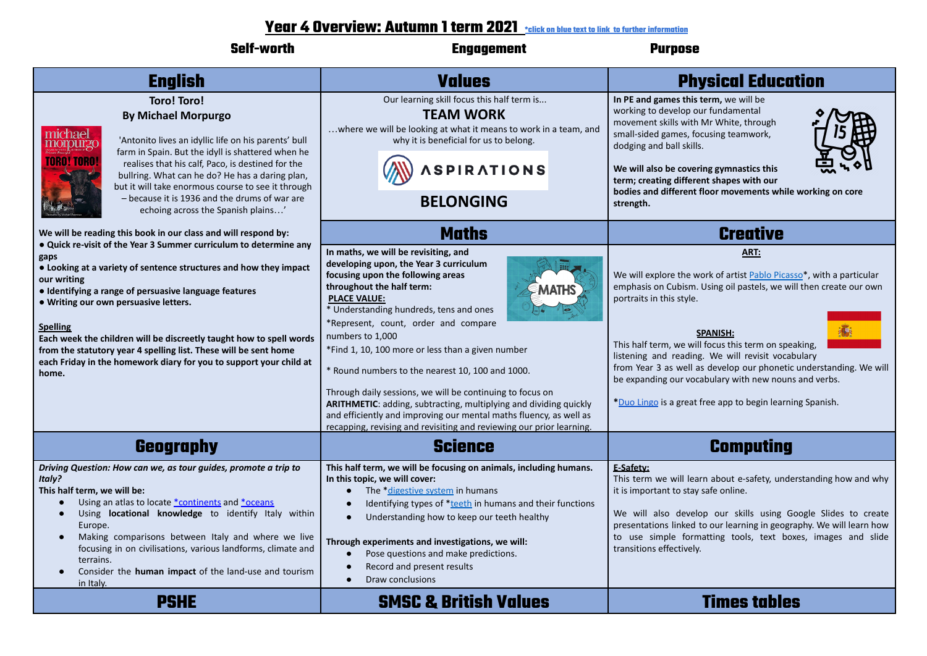## **Year 4 Overview: Autumn 1 term 2021 \*click on blue text to link to further information**

| <b>Self-worth</b>                                                                                                                                                                                                                                                                                                                                                                                                                                                                                                                                                              | <b>Engagement</b>                                                                                                                                                                                                                                                                                                                                                                                                                                                                                                                                                                                                                                                                       | <b>Purpose</b>                                                                                                                                                                                                                                                                                                                                                                                                                                                                                                                |
|--------------------------------------------------------------------------------------------------------------------------------------------------------------------------------------------------------------------------------------------------------------------------------------------------------------------------------------------------------------------------------------------------------------------------------------------------------------------------------------------------------------------------------------------------------------------------------|-----------------------------------------------------------------------------------------------------------------------------------------------------------------------------------------------------------------------------------------------------------------------------------------------------------------------------------------------------------------------------------------------------------------------------------------------------------------------------------------------------------------------------------------------------------------------------------------------------------------------------------------------------------------------------------------|-------------------------------------------------------------------------------------------------------------------------------------------------------------------------------------------------------------------------------------------------------------------------------------------------------------------------------------------------------------------------------------------------------------------------------------------------------------------------------------------------------------------------------|
| <b>English</b>                                                                                                                                                                                                                                                                                                                                                                                                                                                                                                                                                                 | <b>Values</b>                                                                                                                                                                                                                                                                                                                                                                                                                                                                                                                                                                                                                                                                           | <b>Physical Education</b>                                                                                                                                                                                                                                                                                                                                                                                                                                                                                                     |
| <b>Toro! Toro!</b><br><b>By Michael Morpurgo</b><br>michael<br>'Antonito lives an idyllic life on his parents' bull<br>TIOITOUITZC<br>farm in Spain. But the idyll is shattered when he<br><b>ARALTAR</b><br>realises that his calf, Paco, is destined for the<br>bullring. What can he do? He has a daring plan,<br>but it will take enormous course to see it through<br>- because it is 1936 and the drums of war are<br>echoing across the Spanish plains'                                                                                                                 | Our learning skill focus this half term is<br><b>TEAM WORK</b><br>where we will be looking at what it means to work in a team, and<br>why it is beneficial for us to belong.<br><b>SPIRATIONS</b><br><b>BELONGING</b>                                                                                                                                                                                                                                                                                                                                                                                                                                                                   | In PE and games this term, we will be<br>working to develop our fundamental<br>movement skills with Mr White, through<br>small-sided games, focusing teamwork,<br>dodging and ball skills.<br>We will also be covering gymnastics this<br>term; creating different shapes with our<br>bodies and different floor movements while working on core<br>strength.                                                                                                                                                                 |
| We will be reading this book in our class and will respond by:<br>. Quick re-visit of the Year 3 Summer curriculum to determine any<br>gaps<br>• Looking at a variety of sentence structures and how they impact<br>our writing<br>• Identifying a range of persuasive language features<br>. Writing our own persuasive letters.<br><b>Spelling</b><br>Each week the children will be discreetly taught how to spell words<br>from the statutory year 4 spelling list. These will be sent home<br>each Friday in the homework diary for you to support your child at<br>home. | <b>Maths</b><br>In maths, we will be revisiting, and<br>developing upon, the Year 3 curriculum<br>focusing upon the following areas<br>throughout the half term:<br><b>PLACE VALUE:</b><br>* Understanding hundreds, tens and ones<br>*Represent, count, order and compare<br>numbers to 1,000<br>*Find 1, 10, 100 more or less than a given number<br>* Round numbers to the nearest 10, 100 and 1000.<br>Through daily sessions, we will be continuing to focus on<br>ARITHMETIC: adding, subtracting, multiplying and dividing quickly<br>and efficiently and improving our mental maths fluency, as well as<br>recapping, revising and revisiting and reviewing our prior learning. | <b>Creative</b><br>ART:<br>We will explore the work of artist Pablo Picasso*, with a particular<br>emphasis on Cubism. Using oil pastels, we will then create our own<br>portraits in this style.<br><b>SPANISH:</b><br>This half term, we will focus this term on speaking,<br>listening and reading. We will revisit vocabulary<br>from Year 3 as well as develop our phonetic understanding. We will<br>be expanding our vocabulary with new nouns and verbs.<br>*Duo Lingo is a great free app to begin learning Spanish. |
| Geography                                                                                                                                                                                                                                                                                                                                                                                                                                                                                                                                                                      | <b>Science</b>                                                                                                                                                                                                                                                                                                                                                                                                                                                                                                                                                                                                                                                                          | <b>Computing</b>                                                                                                                                                                                                                                                                                                                                                                                                                                                                                                              |
| Driving Question: How can we, as tour guides, promote a trip to<br><b>Italy?</b><br>This half term, we will be:<br>Using an atlas to locate *continents and *oceans<br>Using locational knowledge to identify Italy within<br>Europe.<br>Making comparisons between Italy and where we live<br>focusing in on civilisations, various landforms, climate and<br>terrains.<br>Consider the human impact of the land-use and tourism<br>$\bullet$<br>in Italy.                                                                                                                    | This half term, we will be focusing on animals, including humans.<br>In this topic, we will cover:<br>The *digestive system in humans<br>Identifying types of *teeth in humans and their functions<br>Understanding how to keep our teeth healthy<br>Through experiments and investigations, we will:<br>Pose questions and make predictions.<br>Record and present results<br>Draw conclusions<br>$\bullet$                                                                                                                                                                                                                                                                            | E-Safety:<br>This term we will learn about e-safety, understanding how and why<br>it is important to stay safe online.<br>We will also develop our skills using Google Slides to create<br>presentations linked to our learning in geography. We will learn how  <br>to use simple formatting tools, text boxes, images and slide<br>transitions effectively.                                                                                                                                                                 |
| <b>PSHE</b>                                                                                                                                                                                                                                                                                                                                                                                                                                                                                                                                                                    | <b>SMSC &amp; British Values</b>                                                                                                                                                                                                                                                                                                                                                                                                                                                                                                                                                                                                                                                        | <b>Times tables</b>                                                                                                                                                                                                                                                                                                                                                                                                                                                                                                           |